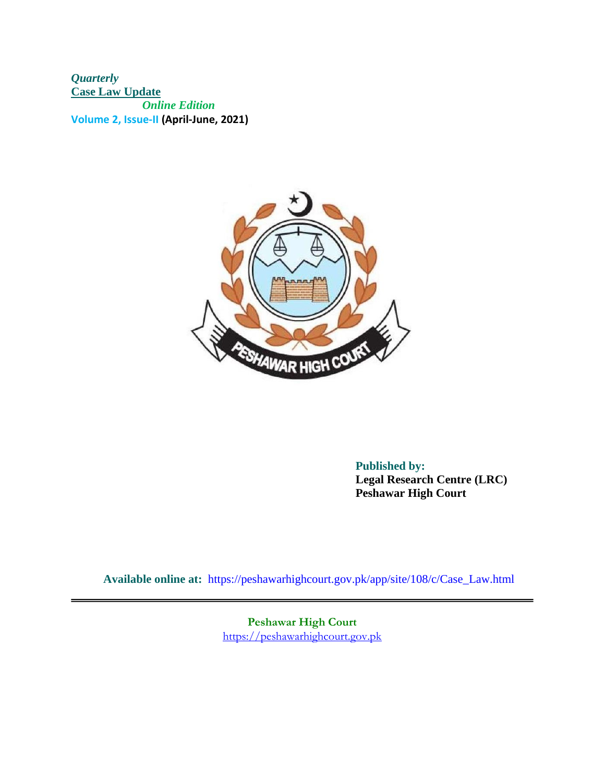*Quarterly*  **Case Law Update**  *Online Edition*  **Volume 2, Issue-II (April-June, 2021)**



**Published by: Legal Research Centre (LRC) Peshawar High Court** 

**Available online at:** <https://peshawarhighcourt.gov.pk/a>pp/site/108/c/Case\_Law.html

**Peshawar High Court** [https://peshawarhighcourt.gov.pk](https://peshawarhighcourt.gov.pk/)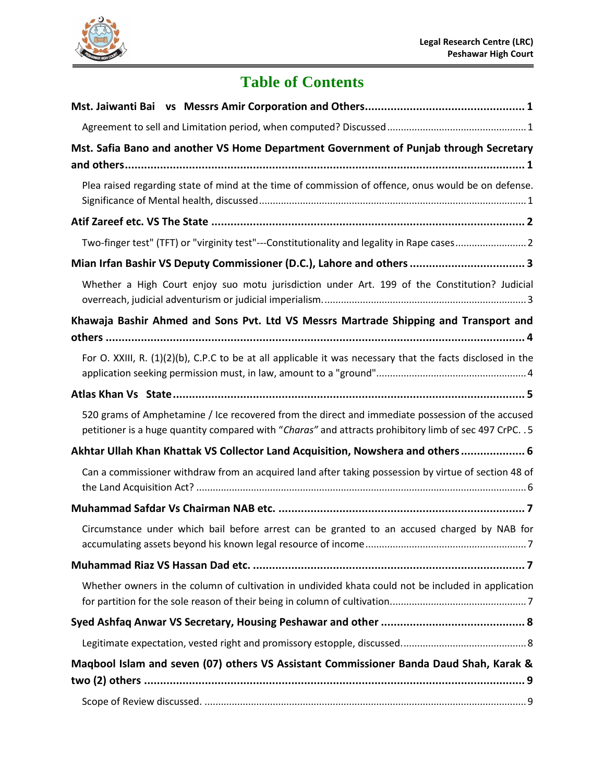

## **Table of Contents**

| Mst. Safia Bano and another VS Home Department Government of Punjab through Secretary                                                                                                                       |
|-------------------------------------------------------------------------------------------------------------------------------------------------------------------------------------------------------------|
|                                                                                                                                                                                                             |
| Plea raised regarding state of mind at the time of commission of offence, onus would be on defense.                                                                                                         |
|                                                                                                                                                                                                             |
| Two-finger test" (TFT) or "virginity test"---Constitutionality and legality in Rape cases2                                                                                                                  |
| Mian Irfan Bashir VS Deputy Commissioner (D.C.), Lahore and others  3                                                                                                                                       |
| Whether a High Court enjoy suo motu jurisdiction under Art. 199 of the Constitution? Judicial                                                                                                               |
| Khawaja Bashir Ahmed and Sons Pvt. Ltd VS Messrs Martrade Shipping and Transport and                                                                                                                        |
| For O. XXIII, R. (1)(2)(b), C.P.C to be at all applicable it was necessary that the facts disclosed in the                                                                                                  |
|                                                                                                                                                                                                             |
| 520 grams of Amphetamine / Ice recovered from the direct and immediate possession of the accused<br>petitioner is a huge quantity compared with "Charas" and attracts prohibitory limb of sec 497 CrPC. . 5 |
| Akhtar Ullah Khan Khattak VS Collector Land Acquisition, Nowshera and others 6                                                                                                                              |
| Can a commissioner withdraw from an acquired land after taking possession by virtue of section 48 of                                                                                                        |
|                                                                                                                                                                                                             |
| Circumstance under which bail before arrest can be granted to an accused charged by NAB for                                                                                                                 |
|                                                                                                                                                                                                             |
| Whether owners in the column of cultivation in undivided khata could not be included in application                                                                                                         |
|                                                                                                                                                                                                             |
|                                                                                                                                                                                                             |
| Maqbool Islam and seven (07) others VS Assistant Commissioner Banda Daud Shah, Karak &                                                                                                                      |
|                                                                                                                                                                                                             |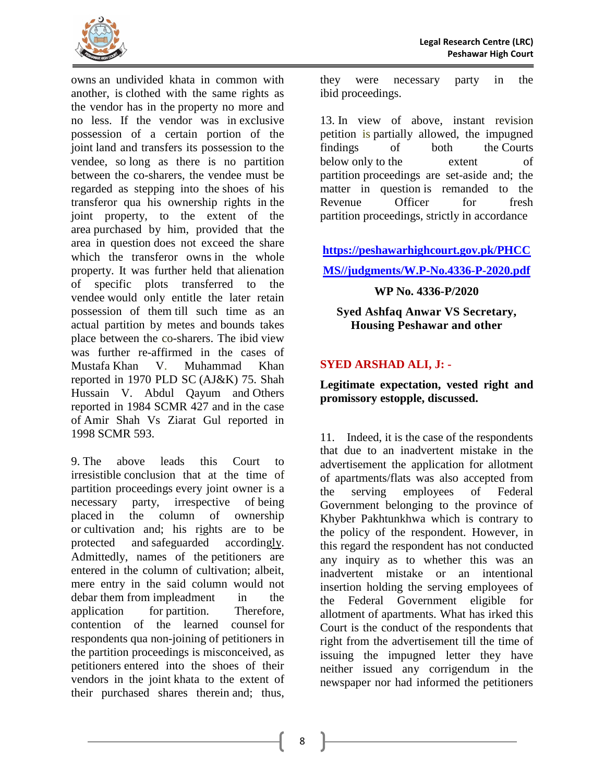Quarterly Case Law Update **Online Edition** Volume2, Issuell (April-June 2021)

> Published by: Legal Research Centre (LRC) Peshawar High Court

Available online at: https://peshawarhighcourt.gov.php/site/108/c/Case\_Law.html

**Peshawar High Court** https://peshawarhighcourt.gov.pk